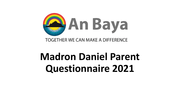

# **Madron Daniel Parent Questionnaire 2021**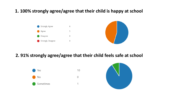## **1. 100% strongly agree/agree that their child is happy at school**





## **2. 91% strongly agree/agree that their child feels safe at school**

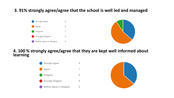#### **3. 91% strongly agree/agree that the school is well led and managed**





#### **4. 100 % strongly agree/agree that they are kept well informed about learning**



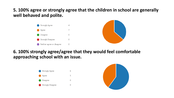#### **5. 100% agree or strongly agree that the children in school are generally well behaved and polite.**





#### **6. 100% strongly agree/agree that they would feel comfortable approaching school with an issue.**



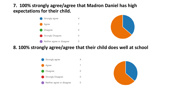### **7. 100% strongly agree/agree that Madron Daniel has high expectations for their child.**





#### **8. 100% strongly agree/agree that their child does well at school**



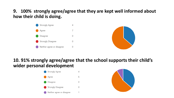# **9. 100% strongly agree/agree that they are kept well informed about how their child is doing.**





# **10. 91% strongly agree/agree that the school supports their child's wider personal development**



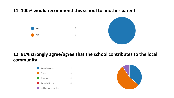# **11. 100% would recommend this school to another parent**



## **12. 91% strongly agree/agree that the school contributes to the local community**



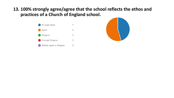#### **13. 100% strongly agree/agree that the school reflects the ethos and practices of a Church of England school.**